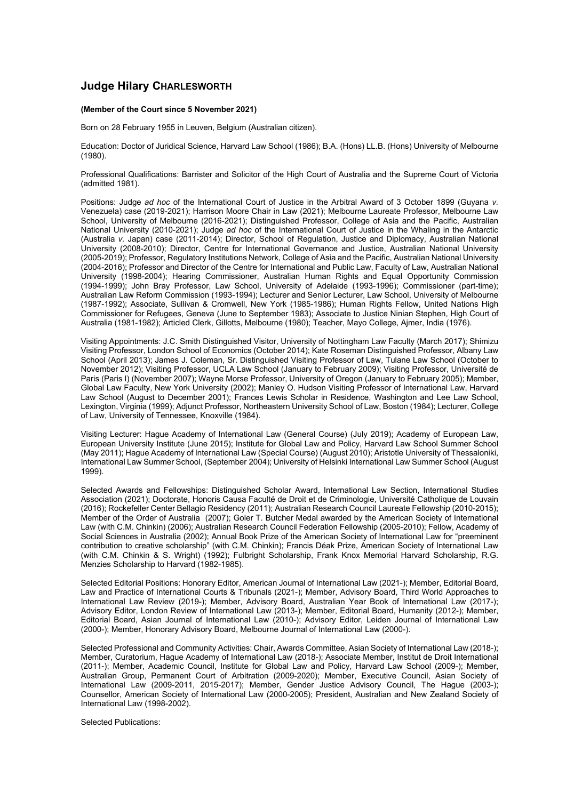## **Judge Hilary CHARLESWORTH**

## **(Member of the Court since 5 November 2021)**

Born on 28 February 1955 in Leuven, Belgium (Australian citizen).

Education: Doctor of Juridical Science, Harvard Law School (1986); B.A. (Hons) LL.B. (Hons) University of Melbourne (1980).

Professional Qualifications: Barrister and Solicitor of the High Court of Australia and the Supreme Court of Victoria (admitted 1981).

Positions: Judge *ad hoc* of the International Court of Justice in the Arbitral Award of 3 October 1899 (Guyana *v.* Venezuela) case (2019-2021); Harrison Moore Chair in Law (2021); Melbourne Laureate Professor, Melbourne Law School, University of Melbourne (2016-2021); Distinguished Professor, College of Asia and the Pacific, Australian National University (2010-2021); Judge *ad hoc* of the International Court of Justice in the Whaling in the Antarctic (Australia *v.* Japan) case (2011-2014); Director, School of Regulation, Justice and Diplomacy, Australian National University (2008-2010); Director, Centre for International Governance and Justice, Australian National University (2005-2019); Professor, Regulatory Institutions Network, College of Asia and the Pacific, Australian National University (2004-2016); Professor and Director of the Centre for International and Public Law, Faculty of Law, Australian National University (1998-2004); Hearing Commissioner, Australian Human Rights and Equal Opportunity Commission (1994-1999); John Bray Professor, Law School, University of Adelaide (1993-1996); Commissioner (part-time); Australian Law Reform Commission (1993-1994); Lecturer and Senior Lecturer, Law School, University of Melbourne (1987-1992); Associate, Sullivan & Cromwell, New York (1985-1986); Human Rights Fellow, United Nations High Commissioner for Refugees, Geneva (June to September 1983); Associate to Justice Ninian Stephen, High Court of Australia (1981-1982); Articled Clerk, Gillotts, Melbourne (1980); Teacher, Mayo College, Ajmer, India (1976).

Visiting Appointments: J.C. Smith Distinguished Visitor, University of Nottingham Law Faculty (March 2017); Shimizu Visiting Professor, London School of Economics (October 2014); Kate Roseman Distinguished Professor, Albany Law School (April 2013); James J. Coleman, Sr. Distinguished Visiting Professor of Law, Tulane Law School (October to November 2012); Visiting Professor, UCLA Law School (January to February 2009); Visiting Professor, Université de Paris (Paris I) (November 2007); Wayne Morse Professor, University of Oregon (January to February 2005); Member, Global Law Faculty, New York University (2002); Manley O. Hudson Visiting Professor of International Law, Harvard Law School (August to December 2001); Frances Lewis Scholar in Residence, Washington and Lee Law School, Lexington, Virginia (1999); Adjunct Professor, Northeastern University School of Law, Boston (1984); Lecturer, College of Law, University of Tennessee, Knoxville (1984).

Visiting Lecturer: Hague Academy of International Law (General Course) (July 2019); Academy of European Law, European University Institute (June 2015); Institute for Global Law and Policy, Harvard Law School Summer School (May 2011); Hague Academy of International Law (Special Course) (August 2010); Aristotle University of Thessaloniki, International Law Summer School, (September 2004); University of Helsinki International Law Summer School (August 1999).

Selected Awards and Fellowships: Distinguished Scholar Award, International Law Section, International Studies Association (2021); Doctorate, Honoris Causa Faculté de Droit et de Criminologie, Université Catholique de Louvain (2016); Rockefeller Center Bellagio Residency (2011); Australian Research Council Laureate Fellowship (2010-2015); Member of the Order of Australia (2007); Goler T. Butcher Medal awarded by the American Society of International Law (with C.M. Chinkin) (2006); Australian Research Council Federation Fellowship (2005-2010); Fellow, Academy of Social Sciences in Australia (2002); Annual Book Prize of the American Society of International Law for "preeminent contribution to creative scholarship" (with C.M. Chinkin); Francis Déak Prize, American Society of International Law (with C.M. Chinkin & S. Wright) (1992); Fulbright Scholarship, Frank Knox Memorial Harvard Scholarship, R.G. Menzies Scholarship to Harvard (1982-1985).

Selected Editorial Positions: Honorary Editor, American Journal of International Law (2021-); Member, Editorial Board, Law and Practice of International Courts & Tribunals (2021-); Member, Advisory Board, Third World Approaches to International Law Review (2019-); Member, Advisory Board, Australian Year Book of International Law (2017-); Advisory Editor, London Review of International Law (2013-); Member, Editorial Board, Humanity (2012-); Member, Editorial Board, Asian Journal of International Law (2010-); Advisory Editor, Leiden Journal of International Law (2000-); Member, Honorary Advisory Board, Melbourne Journal of International Law (2000-).

Selected Professional and Community Activities: Chair, Awards Committee, Asian Society of International Law (2018-); Member, Curatorium, Hague Academy of International Law (2018-); Associate Member, Institut de Droit International (2011-); Member, Academic Council, Institute for Global Law and Policy, Harvard Law School (2009-); Member, Australian Group, Permanent Court of Arbitration (2009-2020); Member, Executive Council, Asian Society of International Law (2009-2011, 2015-2017); Member, Gender Justice Advisory Council, The Hague (2003-); Counsellor, American Society of International Law (2000-2005); President, Australian and New Zealand Society of International Law (1998-2002).

Selected Publications: